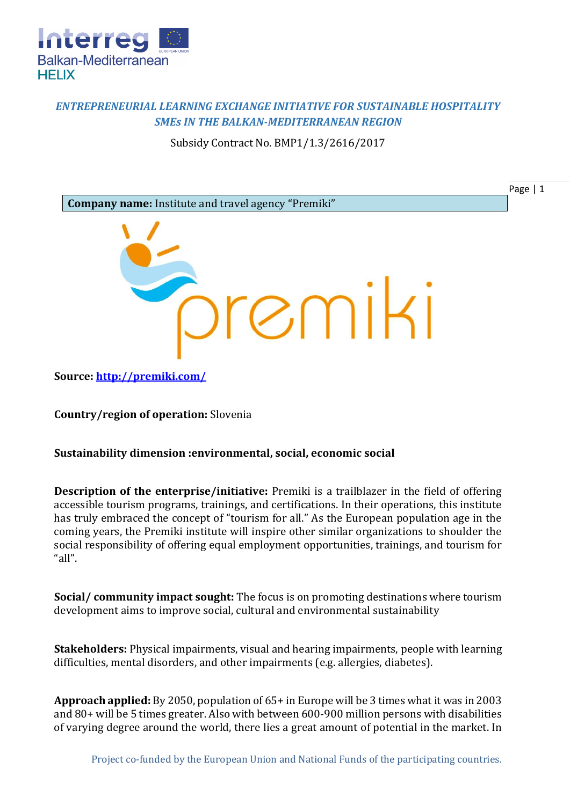

## *ENTREPRENEURIAL LEARNING EXCHANGE INITIATIVE FOR SUSTAINABLE HOSPITALITY SMEs IN THE BALKAN-MEDITERRANEAN REGION*

Subsidy Contract No. BMP1/1.3/2616/2017



**Source:<http://premiki.com/>**

**Country/region of operation:** Slovenia

## **Sustainability dimension :environmental, social, economic social**

**Description of the enterprise/initiative:** Premiki is a trailblazer in the field of offering accessible tourism programs, trainings, and certifications. In their operations, this institute has truly embraced the concept of "tourism for all." As the European population age in the coming years, the Premiki institute will inspire other similar organizations to shoulder the social responsibility of offering equal employment opportunities, trainings, and tourism for "all".

**Social/ community impact sought:** The focus is on promoting destinations where tourism development aims to improve social, cultural and environmental sustainability

**Stakeholders:** Physical impairments, visual and hearing impairments, people with learning difficulties, mental disorders, and other impairments (e.g. allergies, diabetes).

**Approach applied:** By 2050, population of 65+ in Europe will be 3 times what it was in 2003 and 80+ will be 5 times greater. Also with between 600-900 million persons with disabilities of varying degree around the world, there lies a great amount of potential in the market. In